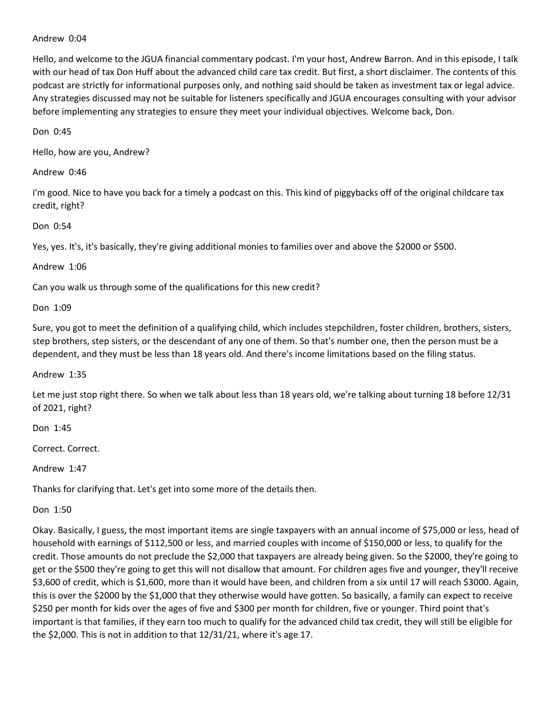## Andrew 0:04

Hello, and welcome to the JGUA financial commentary podcast. I'm your host, Andrew Barron. And in this episode, I talk with our head of tax Don Huff about the advanced child care tax credit. But first, a short disclaimer. The contents of this podcast are strictly for informational purposes only, and nothing said should be taken as investment tax or legal advice. Any strategies discussed may not be suitable for listeners specifically and JGUA encourages consulting with your advisor before implementing any strategies to ensure they meet your individual objectives. Welcome back, Don.

Don 0:45

Hello, how are you, Andrew?

Andrew 0:46

I'm good. Nice to have you back for a timely a podcast on this. This kind of piggybacks off of the original childcare tax credit, right?

Don 0:54

Yes, yes. It's, it's basically, they're giving additional monies to families over and above the \$2000 or \$500.

Andrew 1:06

Can you walk us through some of the qualifications for this new credit?

Don 1:09

Sure, you got to meet the definition of a qualifying child, which includes stepchildren, foster children, brothers, sisters, step brothers, step sisters, or the descendant of any one of them. So that's number one, then the person must be a dependent, and they must be less than 18 years old. And there's income limitations based on the filing status.

Andrew 1:35

Let me just stop right there. So when we talk about less than 18 years old, we're talking about turning 18 before 12/31 of 2021, right?

Don 1:45

Correct. Correct.

Andrew 1:47

Thanks for clarifying that. Let's get into some more of the details then.

Don 1:50

Okay. Basically, I guess, the most important items are single taxpayers with an annual income of \$75,000 or less, head of household with earnings of \$112,500 or less, and married couples with income of \$150,000 or less, to qualify for the credit. Those amounts do not preclude the \$2,000 that taxpayers are already being given. So the \$2000, they're going to get or the \$500 they're going to get this will not disallow that amount. For children ages five and younger, they'll receive \$3,600 of credit, which is \$1,600, more than it would have been, and children from a six until 17 will reach \$3000. Again, this is over the \$2000 by the \$1,000 that they otherwise would have gotten. So basically, a family can expect to receive \$250 per month for kids over the ages of five and \$300 per month for children, five or younger. Third point that's important is that families, if they earn too much to qualify for the advanced child tax credit, they will still be eligible for the \$2,000. This is not in addition to that 12/31/21, where it's age 17.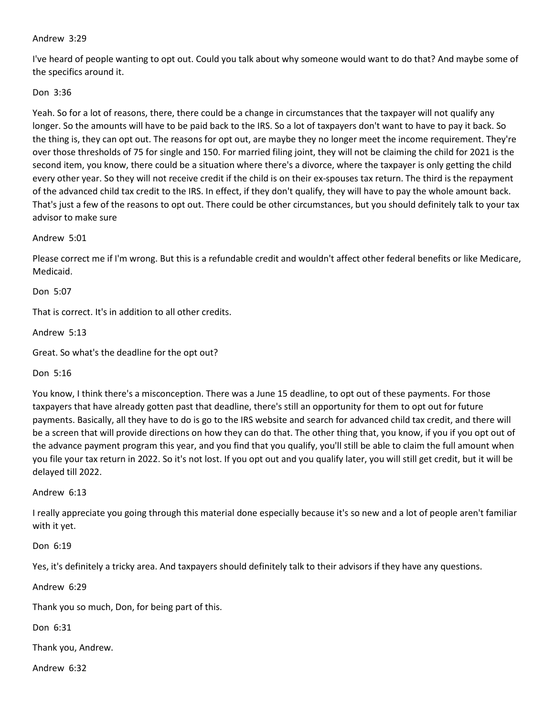## Andrew 3:29

I've heard of people wanting to opt out. Could you talk about why someone would want to do that? And maybe some of the specifics around it.

## Don 3:36

Yeah. So for a lot of reasons, there, there could be a change in circumstances that the taxpayer will not qualify any longer. So the amounts will have to be paid back to the IRS. So a lot of taxpayers don't want to have to pay it back. So the thing is, they can opt out. The reasons for opt out, are maybe they no longer meet the income requirement. They're over those thresholds of 75 for single and 150. For married filing joint, they will not be claiming the child for 2021 is the second item, you know, there could be a situation where there's a divorce, where the taxpayer is only getting the child every other year. So they will not receive credit if the child is on their ex-spouses tax return. The third is the repayment of the advanced child tax credit to the IRS. In effect, if they don't qualify, they will have to pay the whole amount back. That's just a few of the reasons to opt out. There could be other circumstances, but you should definitely talk to your tax advisor to make sure

Andrew 5:01

Please correct me if I'm wrong. But this is a refundable credit and wouldn't affect other federal benefits or like Medicare, Medicaid.

Don 5:07

That is correct. It's in addition to all other credits.

Andrew 5:13

Great. So what's the deadline for the opt out?

Don 5:16

You know, I think there's a misconception. There was a June 15 deadline, to opt out of these payments. For those taxpayers that have already gotten past that deadline, there's still an opportunity for them to opt out for future payments. Basically, all they have to do is go to the IRS website and search for advanced child tax credit, and there will be a screen that will provide directions on how they can do that. The other thing that, you know, if you if you opt out of the advance payment program this year, and you find that you qualify, you'll still be able to claim the full amount when you file your tax return in 2022. So it's not lost. If you opt out and you qualify later, you will still get credit, but it will be delayed till 2022.

Andrew 6:13

I really appreciate you going through this material done especially because it's so new and a lot of people aren't familiar with it yet.

Don 6:19

Yes, it's definitely a tricky area. And taxpayers should definitely talk to their advisors if they have any questions.

Andrew 6:29

Thank you so much, Don, for being part of this.

Don 6:31

Thank you, Andrew.

Andrew 6:32